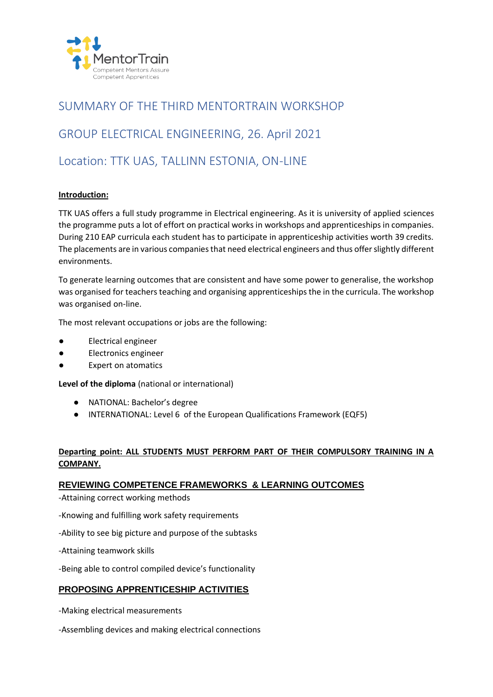

# SUMMARY OF THE THIRD MENTORTRAIN WORKSHOP GROUP ELECTRICAL ENGINEERING, 26. April 2021

# Location: TTK UAS, TALLINN ESTONIA, ON-LINE

# **Introduction:**

TTK UAS offers a full study programme in Electrical engineering. As it is university of applied sciences the programme puts a lot of effort on practical works in workshops and apprenticeships in companies. During 210 EAP curricula each student has to participate in apprenticeship activities worth 39 credits. The placements are in various companies that need electrical engineers and thus offer slightly different environments.

To generate learning outcomes that are consistent and have some power to generalise, the workshop was organised for teachers teaching and organising apprenticeships the in the curricula. The workshop was organised on-line.

The most relevant occupations or jobs are the following:

- Electrical engineer
- **Electronics engineer**
- **Expert on atomatics**

**Level of the diploma** (national or international)

- NATIONAL: Bachelor's degree
- INTERNATIONAL: Level 6 of the European Qualifications Framework (EQF5)

# **Departing point: ALL STUDENTS MUST PERFORM PART OF THEIR COMPULSORY TRAINING IN A COMPANY.**

#### **REVIEWING COMPETENCE FRAMEWORKS & LEARNING OUTCOMES**

- -Attaining correct working methods
- -Knowing and fulfilling work safety requirements
- -Ability to see big picture and purpose of the subtasks
- -Attaining teamwork skills

-Being able to control compiled device's functionality

### **PROPOSING APPRENTICESHIP ACTIVITIES**

- -Making electrical measurements
- -Assembling devices and making electrical connections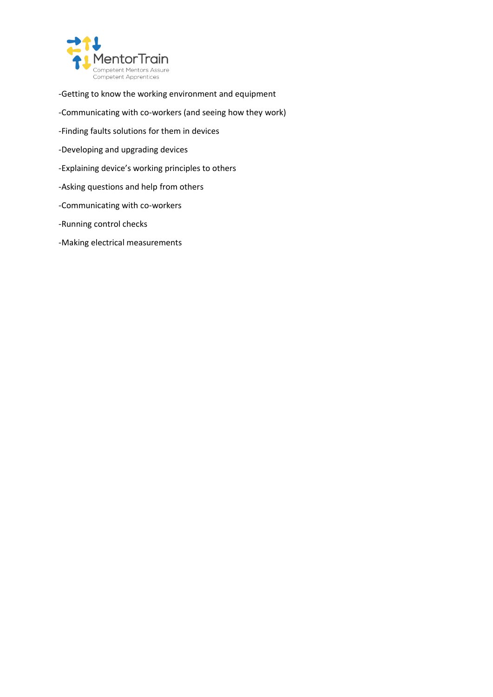

- -Getting to know the working environment and equipment
- -Communicating with co-workers (and seeing how they work)
- -Finding faults solutions for them in devices
- -Developing and upgrading devices
- -Explaining device's working principles to others
- -Asking questions and help from others
- -Communicating with co-workers
- -Running control checks
- -Making electrical measurements